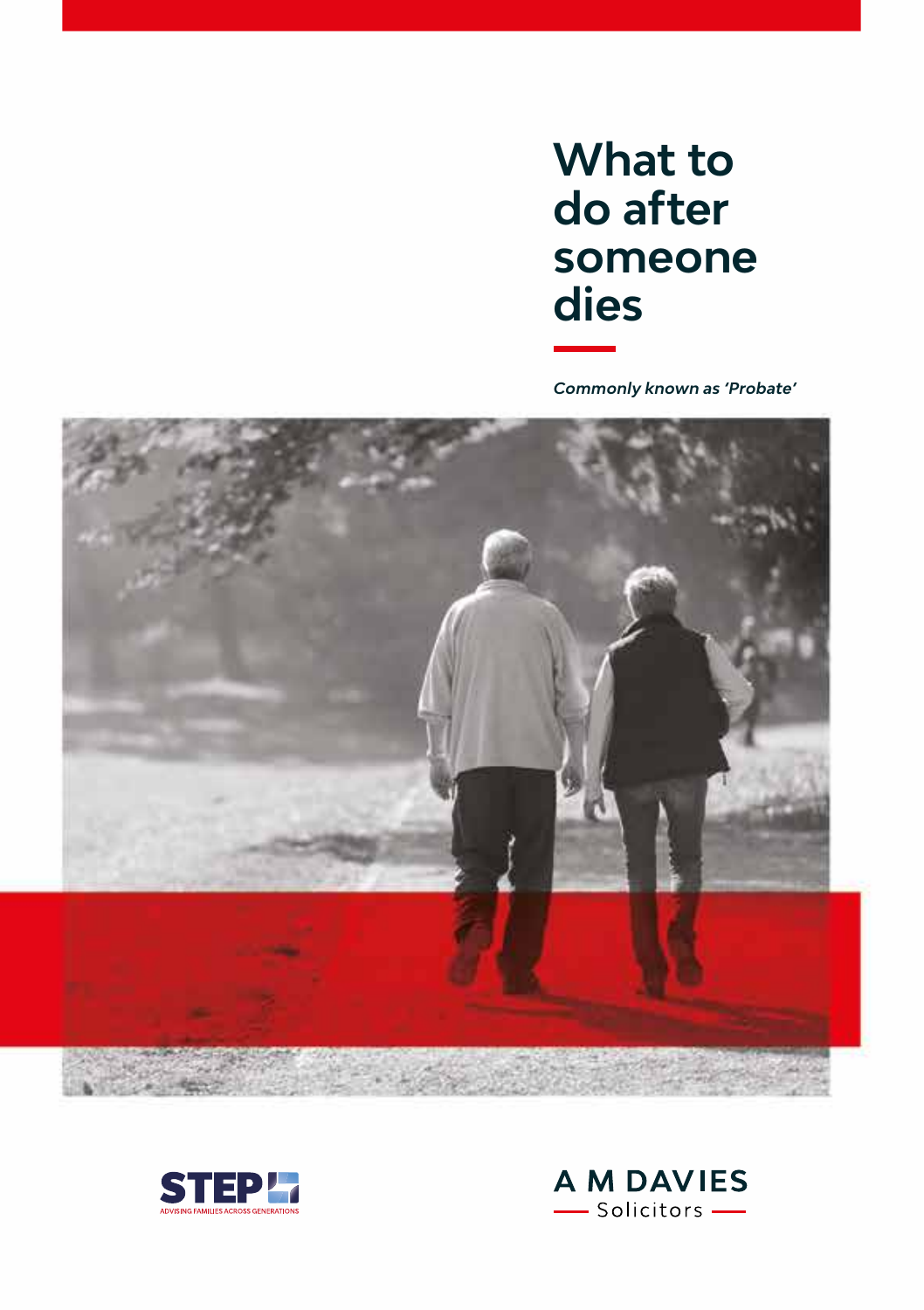## **What to do after someone dies**

*Commonly known as 'Probate'*





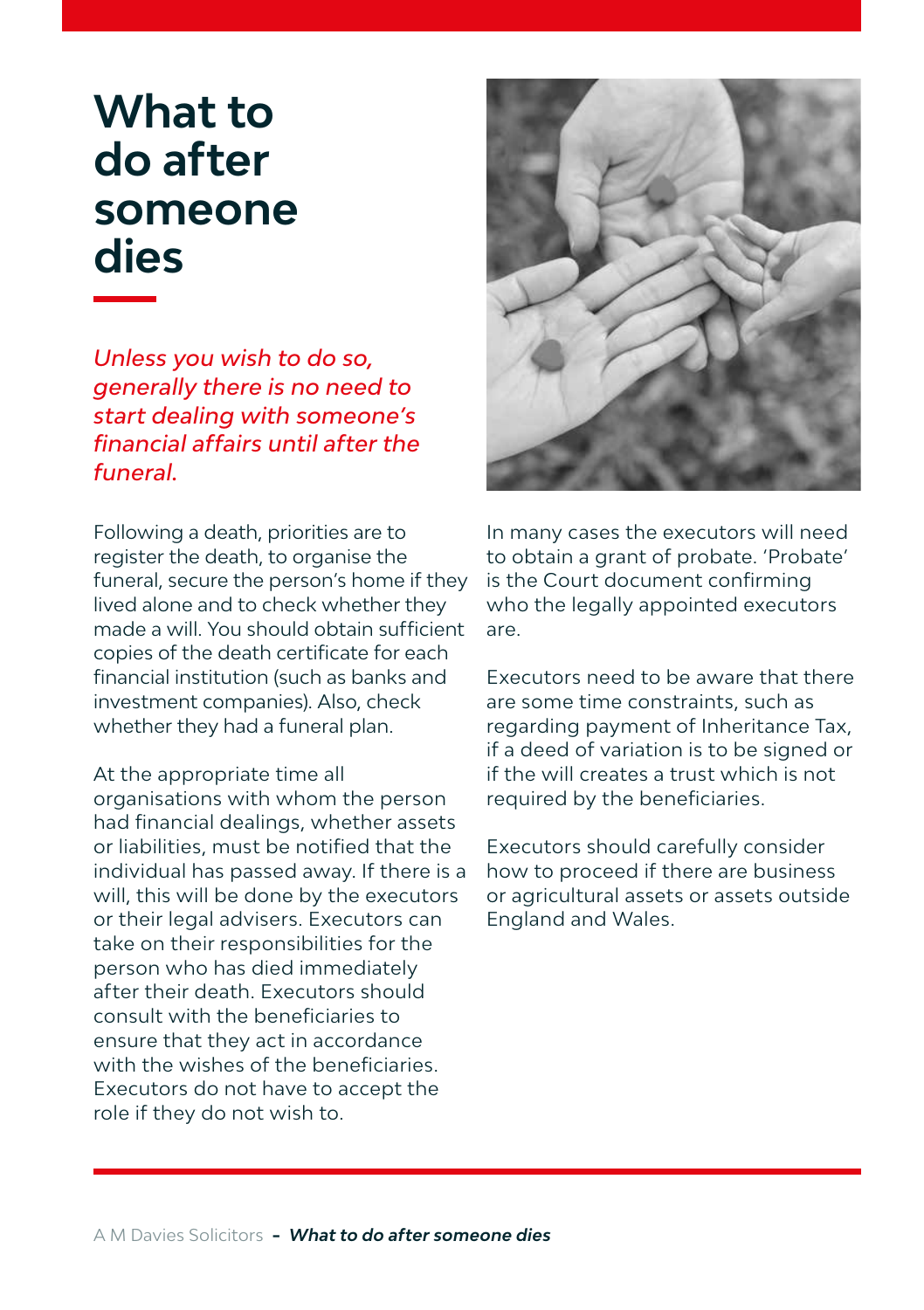## **What to do after someone dies**

*Unless you wish to do so, generally there is no need to start dealing with someone's financial affairs until after the funeral.*

Following a death, priorities are to register the death, to organise the funeral, secure the person's home if they lived alone and to check whether they made a will. You should obtain sufficient copies of the death certificate for each financial institution (such as banks and investment companies). Also, check whether they had a funeral plan.

At the appropriate time all organisations with whom the person had financial dealings, whether assets or liabilities, must be notified that the individual has passed away. If there is a will, this will be done by the executors or their legal advisers. Executors can take on their responsibilities for the person who has died immediately after their death. Executors should consult with the beneficiaries to ensure that they act in accordance with the wishes of the beneficiaries. Executors do not have to accept the role if they do not wish to.



In many cases the executors will need to obtain a grant of probate. 'Probate' is the Court document confirming who the legally appointed executors are.

Executors need to be aware that there are some time constraints, such as regarding payment of Inheritance Tax, if a deed of variation is to be signed or if the will creates a trust which is not required by the beneficiaries.

Executors should carefully consider how to proceed if there are business or agricultural assets or assets outside England and Wales.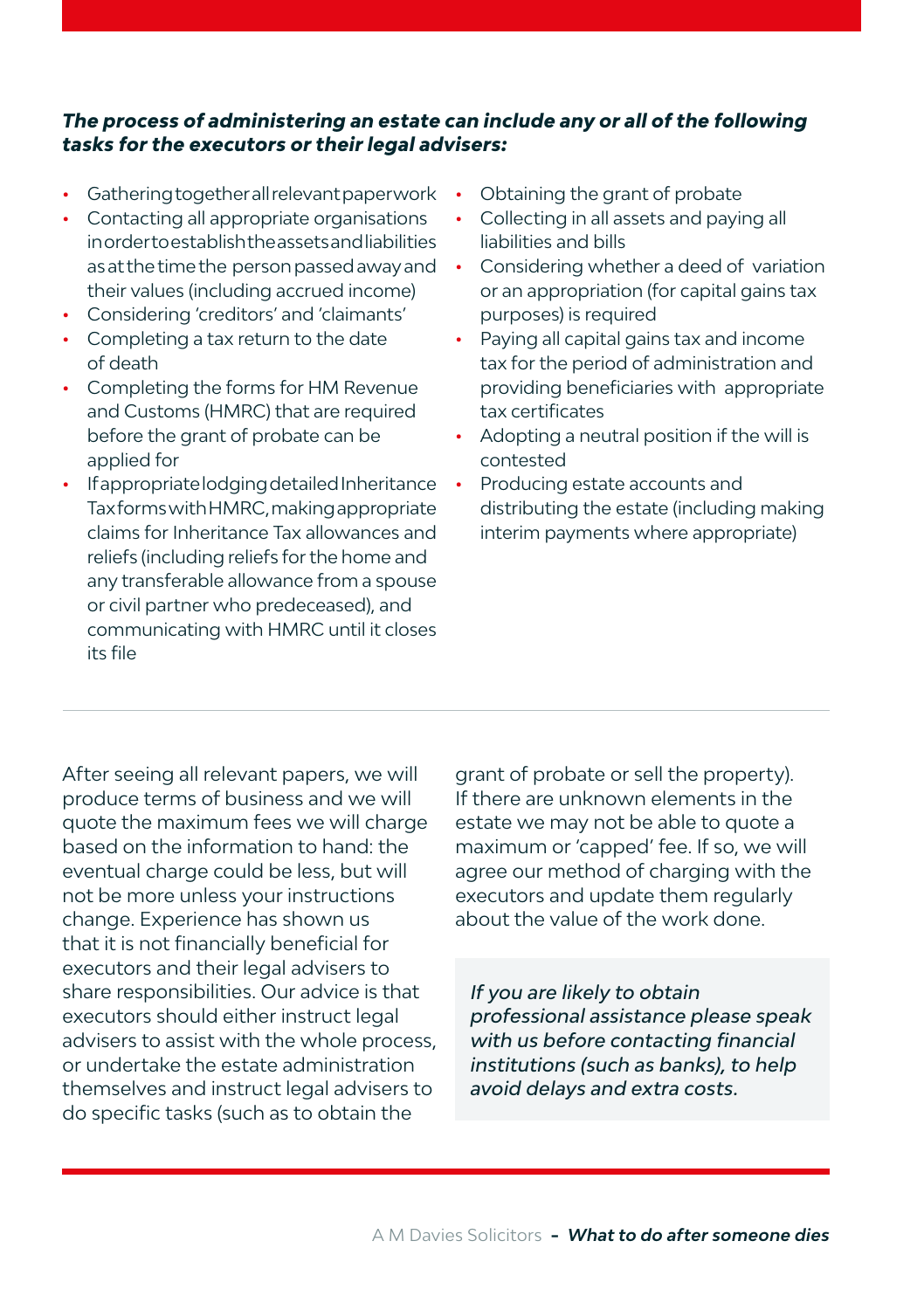## *The process of administering an estate can include any or all of the following tasks for the executors or their legal advisers:*

- **•** Gathering together all relevant paperwork
- **•** Contacting all appropriate organisations in order to establish the assets and liabilities as at the time the person passed away and their values (including accrued income)
- **•** Considering 'creditors' and 'claimants'
- **•** Completing a tax return to the date of death
- **•** Completing the forms for HM Revenue and Customs (HMRC) that are required before the grant of probate can be applied for
- **•** If appropriate lodging detailed Inheritance Tax forms with HMRC, making appropriate claims for Inheritance Tax allowances and reliefs (including reliefs for the home and any transferable allowance from a spouse or civil partner who predeceased), and communicating with HMRC until it closes its file
- **•** Obtaining the grant of probate
- **•** Collecting in all assets and paying all liabilities and bills
- **•** Considering whether a deed of variation or an appropriation (for capital gains tax purposes) is required
- **•** Paying all capital gains tax and income tax for the period of administration and providing beneficiaries with appropriate tax certificates
- **•** Adopting a neutral position if the will is contested
- **•** Producing estate accounts and distributing the estate (including making interim payments where appropriate)

After seeing all relevant papers, we will produce terms of business and we will quote the maximum fees we will charge based on the information to hand: the eventual charge could be less, but will not be more unless your instructions change. Experience has shown us that it is not financially beneficial for executors and their legal advisers to share responsibilities. Our advice is that executors should either instruct legal advisers to assist with the whole process, or undertake the estate administration themselves and instruct legal advisers to do specific tasks (such as to obtain the

grant of probate or sell the property). If there are unknown elements in the estate we may not be able to quote a maximum or 'capped' fee. If so, we will agree our method of charging with the executors and update them regularly about the value of the work done.

*If you are likely to obtain professional assistance please speak with us before contacting financial institutions (such as banks), to help avoid delays and extra costs.*